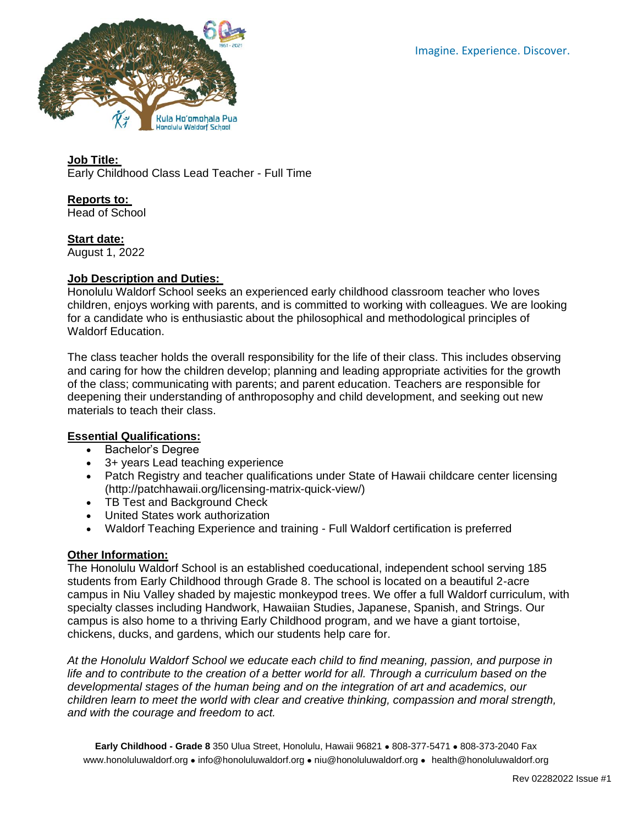

**Job Title:** Early Childhood Class Lead Teacher - Full Time

**Reports to:** Head of School

**Start date:**

August 1, 2022

## **Job Description and Duties:**

Honolulu Waldorf School seeks an experienced early childhood classroom teacher who loves children, enjoys working with parents, and is committed to working with colleagues. We are looking for a candidate who is enthusiastic about the philosophical and methodological principles of Waldorf Education.

The class teacher holds the overall responsibility for the life of their class. This includes observing and caring for how the children develop; planning and leading appropriate activities for the growth of the class; communicating with parents; and parent education. Teachers are responsible for deepening their understanding of anthroposophy and child development, and seeking out new materials to teach their class.

## **Essential Qualifications:**

- Bachelor's Degree
- 3+ years Lead teaching experience
- Patch Registry and teacher qualifications under State of Hawaii childcare center licensing (http://patchhawaii.org/licensing-matrix-quick-view/)
- TB Test and Background Check
- United States work authorization
- Waldorf Teaching Experience and training Full Waldorf certification is preferred

## **Other Information:**

The Honolulu Waldorf School is an established coeducational, independent school serving 185 students from Early Childhood through Grade 8. The school is located on a beautiful 2-acre campus in Niu Valley shaded by majestic monkeypod trees. We offer a full Waldorf curriculum, with specialty classes including Handwork, Hawaiian Studies, Japanese, Spanish, and Strings. Our campus is also home to a thriving Early Childhood program, and we have a giant tortoise, chickens, ducks, and gardens, which our students help care for.

*At the Honolulu Waldorf School we educate each child to find meaning, passion, and purpose in life and to contribute to the creation of a better world for all. Through a curriculum based on the developmental stages of the human being and on the integration of art and academics, our children learn to meet the world with clear and creative thinking, compassion and moral strength, and with the courage and freedom to act.*

**Early Childhood - Grade 8** 350 Ulua Street, Honolulu, Hawaii 96821 ⚫ 808-377-5471 ⚫ 808-373-2040 Fax [www.honoluluwaldorf.org](http://www.honoluluwaldorf.org/) ⚫ [info@honoluluwaldorf.org](mailto:info@honoluluwaldorf.org) ⚫ [niu@honoluluwaldorf.org](mailto:niu@honoluluwaldorf.org) ⚫ [health@honoluluwaldorf.org](mailto:health@honoluluwaldorf.org)